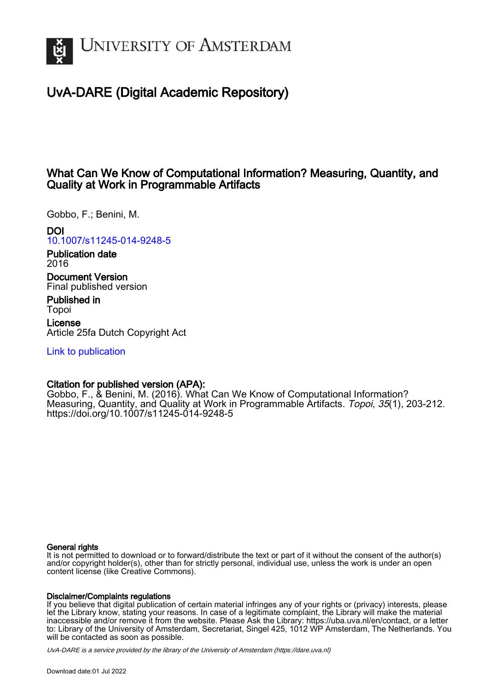

# UvA-DARE (Digital Academic Repository)

## What Can We Know of Computational Information? Measuring, Quantity, and Quality at Work in Programmable Artifacts

Gobbo, F.; Benini, M.

DOI

[10.1007/s11245-014-9248-5](https://doi.org/10.1007/s11245-014-9248-5)

Publication date 2016

Document Version Final published version

Published in Topoi

License Article 25fa Dutch Copyright Act

[Link to publication](https://dare.uva.nl/personal/pure/en/publications/what-can-we-know-of-computational-information-measuring-quantity-and-quality-at-work-in-programmable-artifacts(e8368c70-4f05-41a2-aba3-e13a91270bf1).html)

## Citation for published version (APA):

Gobbo, F., & Benini, M. (2016). What Can We Know of Computational Information? Measuring, Quantity, and Quality at Work in Programmable Artifacts. Topoi, 35(1), 203-212. <https://doi.org/10.1007/s11245-014-9248-5>

### General rights

It is not permitted to download or to forward/distribute the text or part of it without the consent of the author(s) and/or copyright holder(s), other than for strictly personal, individual use, unless the work is under an open content license (like Creative Commons).

### Disclaimer/Complaints regulations

If you believe that digital publication of certain material infringes any of your rights or (privacy) interests, please let the Library know, stating your reasons. In case of a legitimate complaint, the Library will make the material inaccessible and/or remove it from the website. Please Ask the Library: https://uba.uva.nl/en/contact, or a letter to: Library of the University of Amsterdam, Secretariat, Singel 425, 1012 WP Amsterdam, The Netherlands. You will be contacted as soon as possible.

UvA-DARE is a service provided by the library of the University of Amsterdam (http*s*://dare.uva.nl)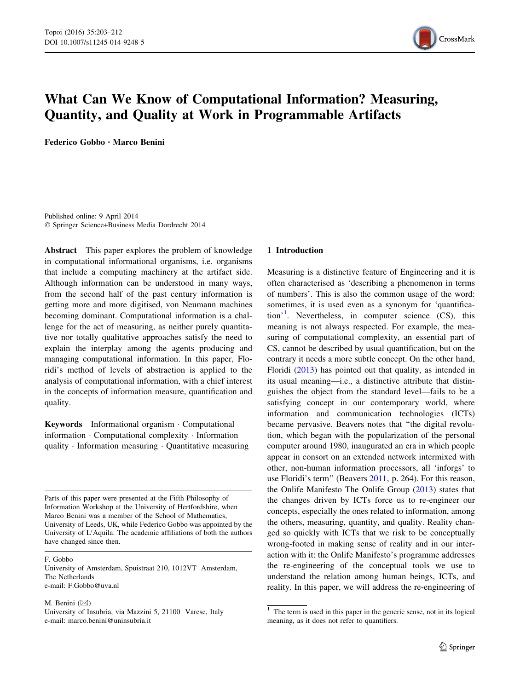

## What Can We Know of Computational Information? Measuring, Quantity, and Quality at Work in Programmable Artifacts

Federico Gobbo • Marco Benini

Published online: 9 April 2014 - Springer Science+Business Media Dordrecht 2014

Abstract This paper explores the problem of knowledge in computational informational organisms, i.e. organisms that include a computing machinery at the artifact side. Although information can be understood in many ways, from the second half of the past century information is getting more and more digitised, von Neumann machines becoming dominant. Computational information is a challenge for the act of measuring, as neither purely quantitative nor totally qualitative approaches satisfy the need to explain the interplay among the agents producing and managing computational information. In this paper, Floridi's method of levels of abstraction is applied to the analysis of computational information, with a chief interest in the concepts of information measure, quantification and quality.

Keywords Informational organism - Computational information - Computational complexity - Information quality - Information measuring - Quantitative measuring

Parts of this paper were presented at the Fifth Philosophy of Information Workshop at the University of Hertfordshire, when Marco Benini was a member of the School of Mathematics, University of Leeds, UK, while Federico Gobbo was appointed by the University of L'Aquila. The academic affiliations of both the authors have changed since then.

#### F. Gobbo

University of Amsterdam, Spuistraat 210, 1012VT Amsterdam, The Netherlands e-mail: F.Gobbo@uva.nl

M. Benini  $(\boxtimes)$ 

#### 1 Introduction

Measuring is a distinctive feature of Engineering and it is often characterised as 'describing a phenomenon in terms of numbers'. This is also the common usage of the word: sometimes, it is used even as a synonym for 'quantification'<sup>1</sup>. Nevertheless, in computer science (CS), this meaning is not always respected. For example, the measuring of computational complexity, an essential part of CS, cannot be described by usual quantification, but on the contrary it needs a more subtle concept. On the other hand, Floridi [\(2013](#page-10-0)) has pointed out that quality, as intended in its usual meaning—i.e., a distinctive attribute that distinguishes the object from the standard level—fails to be a satisfying concept in our contemporary world, where information and communication technologies (ICTs) became pervasive. Beavers notes that ''the digital revolution, which began with the popularization of the personal computer around 1980, inaugurated an era in which people appear in consort on an extended network intermixed with other, non-human information processors, all 'inforgs' to use Floridi's term'' (Beavers [2011](#page-10-0), p. 264). For this reason, the Onlife Manifesto The Onlife Group [\(2013](#page-10-0)) states that the changes driven by ICTs force us to re-engineer our concepts, especially the ones related to information, among the others, measuring, quantity, and quality. Reality changed so quickly with ICTs that we risk to be conceptually wrong-footed in making sense of reality and in our interaction with it: the Onlife Manifesto's programme addresses the re-engineering of the conceptual tools we use to understand the relation among human beings, ICTs, and reality. In this paper, we will address the re-engineering of

University of Insubria, via Mazzini 5, 21100 Varese, Italy e-mail: marco.benini@uninsubria.it

<sup>&</sup>lt;sup>1</sup> The term is used in this paper in the generic sense, not in its logical meaning, as it does not refer to quantifiers.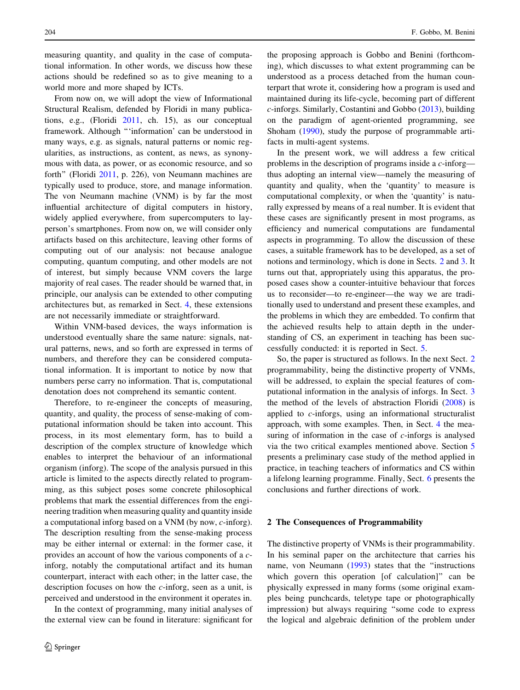<span id="page-2-0"></span>measuring quantity, and quality in the case of computational information. In other words, we discuss how these actions should be redefined so as to give meaning to a world more and more shaped by ICTs.

From now on, we will adopt the view of Informational Structural Realism, defended by Floridi in many publications, e.g., (Floridi [2011](#page-10-0), ch. 15), as our conceptual framework. Although '''information' can be understood in many ways, e.g. as signals, natural patterns or nomic regularities, as instructions, as content, as news, as synonymous with data, as power, or as economic resource, and so forth'' (Floridi [2011,](#page-10-0) p. 226), von Neumann machines are typically used to produce, store, and manage information. The von Neumann machine (VNM) is by far the most influential architecture of digital computers in history, widely applied everywhere, from supercomputers to layperson's smartphones. From now on, we will consider only artifacts based on this architecture, leaving other forms of computing out of our analysis: not because analogue computing, quantum computing, and other models are not of interest, but simply because VNM covers the large majority of real cases. The reader should be warned that, in principle, our analysis can be extended to other computing architectures but, as remarked in Sect. [4,](#page-5-0) these extensions are not necessarily immediate or straightforward.

Within VNM-based devices, the ways information is understood eventually share the same nature: signals, natural patterns, news, and so forth are expressed in terms of numbers, and therefore they can be considered computational information. It is important to notice by now that numbers perse carry no information. That is, computational denotation does not comprehend its semantic content.

Therefore, to re-engineer the concepts of measuring, quantity, and quality, the process of sense-making of computational information should be taken into account. This process, in its most elementary form, has to build a description of the complex structure of knowledge which enables to interpret the behaviour of an informational organism (inforg). The scope of the analysis pursued in this article is limited to the aspects directly related to programming, as this subject poses some concrete philosophical problems that mark the essential differences from the engineering tradition when measuring quality and quantity inside a computational inforg based on a VNM (by now, c-inforg). The description resulting from the sense-making process may be either internal or external: in the former case, it provides an account of how the various components of a cinforg, notably the computational artifact and its human counterpart, interact with each other; in the latter case, the description focuses on how the c-inforg, seen as a unit, is perceived and understood in the environment it operates in.

In the context of programming, many initial analyses of the external view can be found in literature: significant for

the proposing approach is Gobbo and Benini (forthcoming), which discusses to what extent programming can be understood as a process detached from the human counterpart that wrote it, considering how a program is used and maintained during its life-cycle, becoming part of different c-inforgs. Similarly, Costantini and Gobbo ([2013\)](#page-10-0), building on the paradigm of agent-oriented programming, see Shoham [\(1990](#page-10-0)), study the purpose of programmable artifacts in multi-agent systems.

In the present work, we will address a few critical problems in the description of programs inside a c-inforg thus adopting an internal view—namely the measuring of quantity and quality, when the 'quantity' to measure is computational complexity, or when the 'quantity' is naturally expressed by means of a real number. It is evident that these cases are significantly present in most programs, as efficiency and numerical computations are fundamental aspects in programming. To allow the discussion of these cases, a suitable framework has to be developed, as a set of notions and terminology, which is done in Sects. 2 and [3](#page-3-0). It turns out that, appropriately using this apparatus, the proposed cases show a counter-intuitive behaviour that forces us to reconsider—to re-engineer—the way we are traditionally used to understand and present these examples, and the problems in which they are embedded. To confirm that the achieved results help to attain depth in the understanding of CS, an experiment in teaching has been successfully conducted: it is reported in Sect. [5](#page-8-0).

So, the paper is structured as follows. In the next Sect. 2 programmability, being the distinctive property of VNMs, will be addressed, to explain the special features of computational information in the analysis of inforgs. In Sect. [3](#page-3-0) the method of the levels of abstraction Floridi ([2008\)](#page-10-0) is applied to c-inforgs, using an informational structuralist approach, with some examples. Then, in Sect. [4](#page-5-0) the measuring of information in the case of  $c$ -inforgs is analysed via the two critical examples mentioned above. Section [5](#page-8-0) presents a preliminary case study of the method applied in practice, in teaching teachers of informatics and CS within a lifelong learning programme. Finally, Sect. [6](#page-9-0) presents the conclusions and further directions of work.

#### 2 The Consequences of Programmability

The distinctive property of VNMs is their programmability. In his seminal paper on the architecture that carries his name, von Neumann [\(1993](#page-10-0)) states that the "instructions which govern this operation [of calculation]" can be physically expressed in many forms (some original examples being punchcards, teletype tape or photographically impression) but always requiring ''some code to express the logical and algebraic definition of the problem under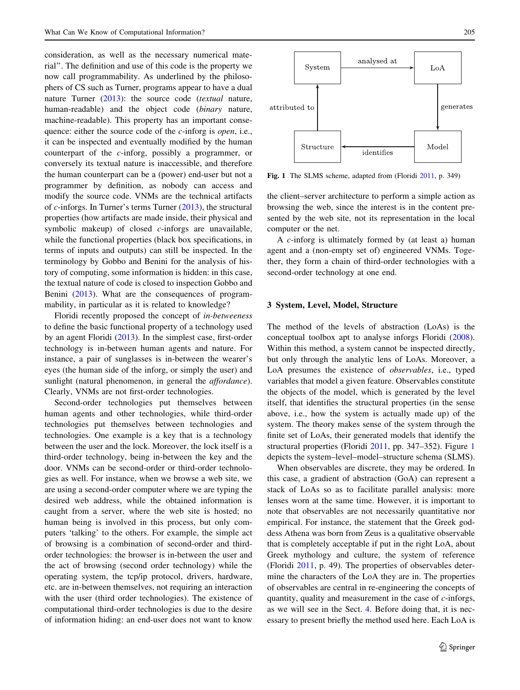<span id="page-3-0"></span>consideration, as well as the necessary numerical material''. The definition and use of this code is the property we now call programmability. As underlined by the philosophers of CS such as Turner, programs appear to have a dual nature Turner [\(2013](#page-10-0)): the source code (textual nature, human-readable) and the object code (binary nature, machine-readable). This property has an important consequence: either the source code of the *c*-inforg is *open*, i.e., it can be inspected and eventually modified by the human counterpart of the c-inforg, possibly a programmer, or conversely its textual nature is inaccessible, and therefore the human counterpart can be a (power) end-user but not a programmer by definition, as nobody can access and modify the source code. VNMs are the technical artifacts of c-inforgs. In Turner's terms Turner [\(2013](#page-10-0)), the structural properties (how artifacts are made inside, their physical and symbolic makeup) of closed  $c$ -inforgs are unavailable, while the functional properties (black box specifications, in terms of inputs and outputs) can still be inspected. In the terminology by Gobbo and Benini for the analysis of history of computing, some information is hidden: in this case, the textual nature of code is closed to inspection Gobbo and Benini [\(2013](#page-10-0)). What are the consequences of programmability, in particular as it is related to knowledge?

Floridi recently proposed the concept of in-betweeness to define the basic functional property of a technology used by an agent Floridi ([2013\)](#page-10-0). In the simplest case, first-order technology is in-between human agents and nature. For instance, a pair of sunglasses is in-between the wearer's eyes (the human side of the inforg, or simply the user) and sunlight (natural phenomenon, in general the *affordance*). Clearly, VNMs are not first-order technologies.

Second-order technologies put themselves between human agents and other technologies, while third-order technologies put themselves between technologies and technologies. One example is a key that is a technology between the user and the lock. Moreover, the lock itself is a third-order technology, being in-between the key and the door. VNMs can be second-order or third-order technologies as well. For instance, when we browse a web site, we are using a second-order computer where we are typing the desired web address, while the obtained information is caught from a server, where the web site is hosted; no human being is involved in this process, but only computers 'talking' to the others. For example, the simple act of browsing is a combination of second-order and thirdorder technologies: the browser is in-between the user and the act of browsing (second order technology) while the operating system, the tcp/ip protocol, drivers, hardware, etc. are in-between themselves, not requiring an interaction with the user (third order technologies). The existence of computational third-order technologies is due to the desire of information hiding: an end-user does not want to know



Fig. 1 The SLMS scheme, adapted from (Floridi [2011,](#page-10-0) p. 349)

the client–server architecture to perform a simple action as browsing the web, since the interest is in the content presented by the web site, not its representation in the local computer or the net.

A c-inforg is ultimately formed by (at least a) human agent and a (non-empty set of) engineered VNMs. Together, they form a chain of third-order technologies with a second-order technology at one end.

#### 3 System, Level, Model, Structure

The method of the levels of abstraction (LoAs) is the conceptual toolbox apt to analyse inforgs Floridi [\(2008](#page-10-0)). Within this method, a system cannot be inspected directly, but only through the analytic lens of LoAs. Moreover, a LoA presumes the existence of observables, i.e., typed variables that model a given feature. Observables constitute the objects of the model, which is generated by the level itself, that identifies the structural properties (in the sense above, i.e., how the system is actually made up) of the system. The theory makes sense of the system through the finite set of LoAs, their generated models that identify the structural properties (Floridi [2011](#page-10-0), pp. 347–352). Figure 1 depicts the system–level–model–structure schema (SLMS).

When observables are discrete, they may be ordered. In this case, a gradient of abstraction (GoA) can represent a stack of LoAs so as to facilitate parallel analysis: more lenses worn at the same time. However, it is important to note that observables are not necessarily quantitative nor empirical. For instance, the statement that the Greek goddess Athena was born from Zeus is a qualitative observable that is completely acceptable if put in the right LoA, about Greek mythology and culture, the system of reference (Floridi [2011](#page-10-0), p. 49). The properties of observables determine the characters of the LoA they are in. The properties of observables are central in re-engineering the concepts of quantity, quality and measurement in the case of  $c$ -inforgs, as we will see in the Sect. [4.](#page-5-0) Before doing that, it is necessary to present briefly the method used here. Each LoA is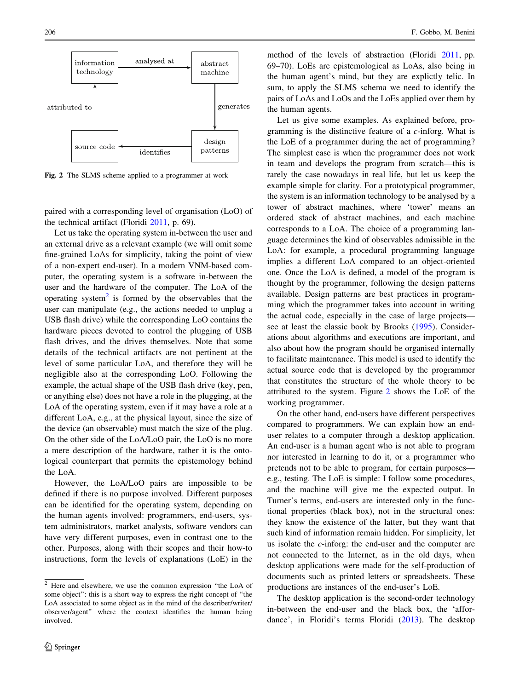

Fig. 2 The SLMS scheme applied to a programmer at work

paired with a corresponding level of organisation (LoO) of the technical artifact (Floridi [2011,](#page-10-0) p. 69).

Let us take the operating system in-between the user and an external drive as a relevant example (we will omit some fine-grained LoAs for simplicity, taking the point of view of a non-expert end-user). In a modern VNM-based computer, the operating system is a software in-between the user and the hardware of the computer. The LoA of the operating system<sup>2</sup> is formed by the observables that the user can manipulate (e.g., the actions needed to unplug a USB flash drive) while the corresponding LoO contains the hardware pieces devoted to control the plugging of USB flash drives, and the drives themselves. Note that some details of the technical artifacts are not pertinent at the level of some particular LoA, and therefore they will be negligible also at the corresponding LoO. Following the example, the actual shape of the USB flash drive (key, pen, or anything else) does not have a role in the plugging, at the LoA of the operating system, even if it may have a role at a different LoA, e.g., at the physical layout, since the size of the device (an observable) must match the size of the plug. On the other side of the LoA/LoO pair, the LoO is no more a mere description of the hardware, rather it is the ontological counterpart that permits the epistemology behind the LoA.

However, the LoA/LoO pairs are impossible to be defined if there is no purpose involved. Different purposes can be identified for the operating system, depending on the human agents involved: programmers, end-users, system administrators, market analysts, software vendors can have very different purposes, even in contrast one to the other. Purposes, along with their scopes and their how-to instructions, form the levels of explanations (LoE) in the method of the levels of abstraction (Floridi [2011,](#page-10-0) pp. 69–70). LoEs are epistemological as LoAs, also being in the human agent's mind, but they are explictly telic. In sum, to apply the SLMS schema we need to identify the pairs of LoAs and LoOs and the LoEs applied over them by the human agents.

Let us give some examples. As explained before, programming is the distinctive feature of a c-inforg. What is the LoE of a programmer during the act of programming? The simplest case is when the programmer does not work in team and develops the program from scratch—this is rarely the case nowadays in real life, but let us keep the example simple for clarity. For a prototypical programmer, the system is an information technology to be analysed by a tower of abstract machines, where 'tower' means an ordered stack of abstract machines, and each machine corresponds to a LoA. The choice of a programming language determines the kind of observables admissible in the LoA: for example, a procedural programming language implies a different LoA compared to an object-oriented one. Once the LoA is defined, a model of the program is thought by the programmer, following the design patterns available. Design patterns are best practices in programming which the programmer takes into account in writing the actual code, especially in the case of large projects see at least the classic book by Brooks [\(1995](#page-10-0)). Considerations about algorithms and executions are important, and also about how the program should be organised internally to facilitate maintenance. This model is used to identify the actual source code that is developed by the programmer that constitutes the structure of the whole theory to be attributed to the system. Figure 2 shows the LoE of the working programmer.

On the other hand, end-users have different perspectives compared to programmers. We can explain how an enduser relates to a computer through a desktop application. An end-user is a human agent who is not able to program nor interested in learning to do it, or a programmer who pretends not to be able to program, for certain purposes e.g., testing. The LoE is simple: I follow some procedures, and the machine will give me the expected output. In Turner's terms, end-users are interested only in the functional properties (black box), not in the structural ones: they know the existence of the latter, but they want that such kind of information remain hidden. For simplicity, let us isolate the c-inforg: the end-user and the computer are not connected to the Internet, as in the old days, when desktop applications were made for the self-production of documents such as printed letters or spreadsheets. These productions are instances of the end-user's LoE.

The desktop application is the second-order technology in-between the end-user and the black box, the 'affordance', in Floridi's terms Floridi ([2013\)](#page-10-0). The desktop

 $\overline{2}$  Here and elsewhere, we use the common expression "the LoA of some object'': this is a short way to express the right concept of ''the LoA associated to some object as in the mind of the describer/writer/ observer/agent'' where the context identifies the human being involved.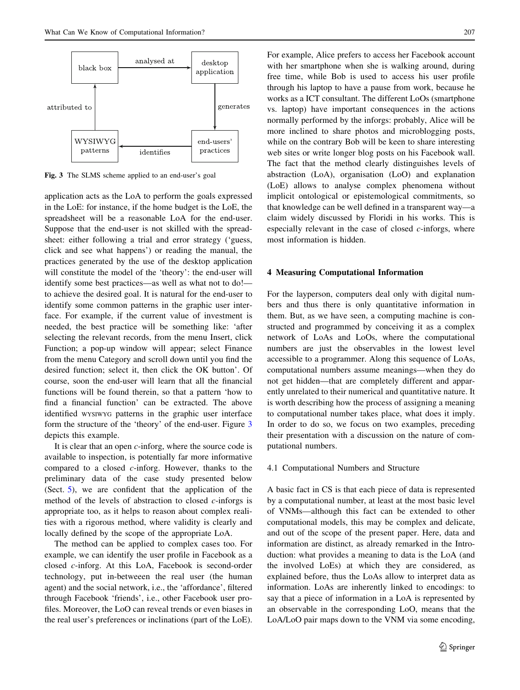<span id="page-5-0"></span>

Fig. 3 The SLMS scheme applied to an end-user's goal

application acts as the LoA to perform the goals expressed in the LoE: for instance, if the home budget is the LoE, the spreadsheet will be a reasonable LoA for the end-user. Suppose that the end-user is not skilled with the spreadsheet: either following a trial and error strategy ('guess, click and see what happens') or reading the manual, the practices generated by the use of the desktop application will constitute the model of the 'theory': the end-user will identify some best practices—as well as what not to do! to achieve the desired goal. It is natural for the end-user to identify some common patterns in the graphic user interface. For example, if the current value of investment is needed, the best practice will be something like: 'after selecting the relevant records, from the menu Insert, click Function; a pop-up window will appear; select Finance from the menu Category and scroll down until you find the desired function; select it, then click the OK button'. Of course, soon the end-user will learn that all the financial functions will be found therein, so that a pattern 'how to find a financial function' can be extracted. The above identified WYSIWYG patterns in the graphic user interface form the structure of the 'theory' of the end-user. Figure 3 depicts this example.

It is clear that an open c-inforg, where the source code is available to inspection, is potentially far more informative compared to a closed c-inforg. However, thanks to the preliminary data of the case study presented below (Sect. [5](#page-8-0)), we are confident that the application of the method of the levels of abstraction to closed  $c$ -inforgs is appropriate too, as it helps to reason about complex realities with a rigorous method, where validity is clearly and locally defined by the scope of the appropriate LoA.

The method can be applied to complex cases too. For example, we can identify the user profile in Facebook as a closed c-inforg. At this LoA, Facebook is second-order technology, put in-betweeen the real user (the human agent) and the social network, i.e., the 'affordance', filtered through Facebook 'friends', i.e., other Facebook user profiles. Moreover, the LoO can reveal trends or even biases in the real user's preferences or inclinations (part of the LoE).

For example, Alice prefers to access her Facebook account with her smartphone when she is walking around, during free time, while Bob is used to access his user profile through his laptop to have a pause from work, because he works as a ICT consultant. The different LoOs (smartphone vs. laptop) have important consequences in the actions normally performed by the inforgs: probably, Alice will be more inclined to share photos and microblogging posts, while on the contrary Bob will be keen to share interesting web sites or write longer blog posts on his Facebook wall. The fact that the method clearly distinguishes levels of abstraction (LoA), organisation (LoO) and explanation (LoE) allows to analyse complex phenomena without implicit ontological or epistemological commitments, so that knowledge can be well defined in a transparent way—a claim widely discussed by Floridi in his works. This is especially relevant in the case of closed  $c$ -inforgs, where most information is hidden.

### 4 Measuring Computational Information

For the layperson, computers deal only with digital numbers and thus there is only quantitative information in them. But, as we have seen, a computing machine is constructed and programmed by conceiving it as a complex network of LoAs and LoOs, where the computational numbers are just the observables in the lowest level accessible to a programmer. Along this sequence of LoAs, computational numbers assume meanings—when they do not get hidden—that are completely different and apparently unrelated to their numerical and quantitative nature. It is worth describing how the process of assigning a meaning to computational number takes place, what does it imply. In order to do so, we focus on two examples, preceding their presentation with a discussion on the nature of computational numbers.

#### 4.1 Computational Numbers and Structure

A basic fact in CS is that each piece of data is represented by a computational number, at least at the most basic level of VNMs—although this fact can be extended to other computational models, this may be complex and delicate, and out of the scope of the present paper. Here, data and information are distinct, as already remarked in the Introduction: what provides a meaning to data is the LoA (and the involved LoEs) at which they are considered, as explained before, thus the LoAs allow to interpret data as information. LoAs are inherently linked to encodings: to say that a piece of information in a LoA is represented by an observable in the corresponding LoO, means that the LoA/LoO pair maps down to the VNM via some encoding,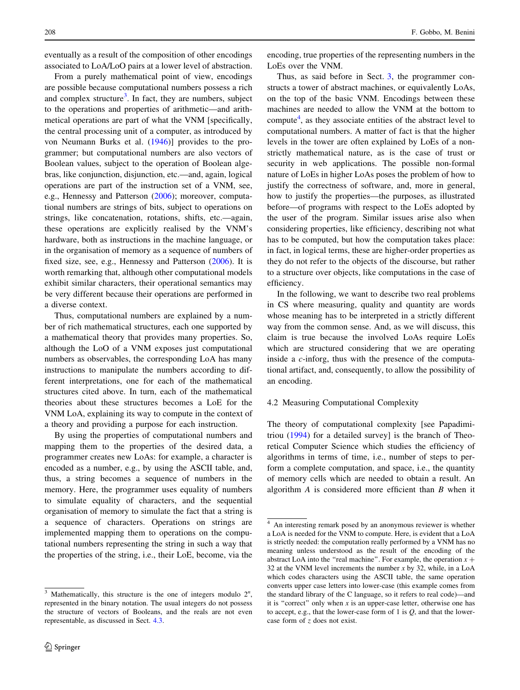eventually as a result of the composition of other encodings associated to LoA/LoO pairs at a lower level of abstraction.

From a purely mathematical point of view, encodings are possible because computational numbers possess a rich and complex structure<sup>3</sup>. In fact, they are numbers, subject to the operations and properties of arithmetic—and arithmetical operations are part of what the VNM [specifically, the central processing unit of a computer, as introduced by von Neumann Burks et al. ([1946\)](#page-10-0)] provides to the programmer; but computational numbers are also vectors of Boolean values, subject to the operation of Boolean algebras, like conjunction, disjunction, etc.—and, again, logical operations are part of the instruction set of a VNM, see, e.g., Hennessy and Patterson ([2006\)](#page-10-0); moreover, computational numbers are strings of bits, subject to operations on strings, like concatenation, rotations, shifts, etc.—again, these operations are explicitly realised by the VNM's hardware, both as instructions in the machine language, or in the organisation of memory as a sequence of numbers of fixed size, see, e.g., Hennessy and Patterson ([2006\)](#page-10-0). It is worth remarking that, although other computational models exhibit similar characters, their operational semantics may be very different because their operations are performed in a diverse context.

Thus, computational numbers are explained by a number of rich mathematical structures, each one supported by a mathematical theory that provides many properties. So, although the LoO of a VNM exposes just computational numbers as observables, the corresponding LoA has many instructions to manipulate the numbers according to different interpretations, one for each of the mathematical structures cited above. In turn, each of the mathematical theories about these structures becomes a LoE for the VNM LoA, explaining its way to compute in the context of a theory and providing a purpose for each instruction.

By using the properties of computational numbers and mapping them to the properties of the desired data, a programmer creates new LoAs: for example, a character is encoded as a number, e.g., by using the ASCII table, and, thus, a string becomes a sequence of numbers in the memory. Here, the programmer uses equality of numbers to simulate equality of characters, and the sequential organisation of memory to simulate the fact that a string is a sequence of characters. Operations on strings are implemented mapping them to operations on the computational numbers representing the string in such a way that the properties of the string, i.e., their LoE, become, via the encoding, true properties of the representing numbers in the LoEs over the VNM.

Thus, as said before in Sect. [3,](#page-3-0) the programmer constructs a tower of abstract machines, or equivalently LoAs, on the top of the basic VNM. Encodings between these machines are needed to allow the VNM at the bottom to compute<sup>4</sup>, as they associate entities of the abstract level to computational numbers. A matter of fact is that the higher levels in the tower are often explained by LoEs of a nonstrictly mathematical nature, as is the case of trust or security in web applications. The possible non-formal nature of LoEs in higher LoAs poses the problem of how to justify the correctness of software, and, more in general, how to justify the properties—the purposes, as illustrated before—of programs with respect to the LoEs adopted by the user of the program. Similar issues arise also when considering properties, like efficiency, describing not what has to be computed, but how the computation takes place: in fact, in logical terms, these are higher-order properties as they do not refer to the objects of the discourse, but rather to a structure over objects, like computations in the case of efficiency.

In the following, we want to describe two real problems in CS where measuring, quality and quantity are words whose meaning has to be interpreted in a strictly different way from the common sense. And, as we will discuss, this claim is true because the involved LoAs require LoEs which are structured considering that we are operating inside a c-inforg, thus with the presence of the computational artifact, and, consequently, to allow the possibility of an encoding.

#### 4.2 Measuring Computational Complexity

The theory of computational complexity [see Papadimitriou [\(1994](#page-10-0)) for a detailed survey] is the branch of Theoretical Computer Science which studies the efficiency of algorithms in terms of time, i.e., number of steps to perform a complete computation, and space, i.e., the quantity of memory cells which are needed to obtain a result. An algorithm  $A$  is considered more efficient than  $B$  when it

<sup>&</sup>lt;sup>3</sup> Mathematically, this structure is the one of integers modulo  $2^n$ , represented in the binary notation. The usual integers do not possess the structure of vectors of Booleans, and the reals are not even representable, as discussed in Sect. [4.3](#page-7-0).

 $4\overline{A}$  An interesting remark posed by an anonymous reviewer is whether a LoA is needed for the VNM to compute. Here, is evident that a LoA is strictly needed: the computation really performed by a VNM has no meaning unless understood as the result of the encoding of the abstract LoA into the "real machine". For example, the operation  $x +$ 32 at the VNM level increments the number  $x$  by 32, while, in a LoA which codes characters using the ASCII table, the same operation converts upper case letters into lower-case (this example comes from the standard library of the C language, so it refers to real code)—and it is "correct" only when  $x$  is an upper-case letter, otherwise one has to accept, e.g., that the lower-case form of 1 is  $Q$ , and that the lowercase form of z does not exist.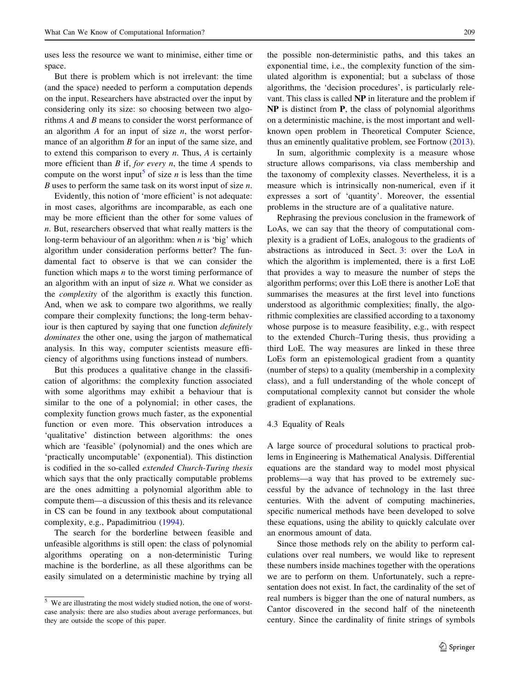<span id="page-7-0"></span>uses less the resource we want to minimise, either time or space.

But there is problem which is not irrelevant: the time (and the space) needed to perform a computation depends on the input. Researchers have abstracted over the input by considering only its size: so choosing between two algorithms A and B means to consider the worst performance of an algorithm  $A$  for an input of size  $n$ , the worst performance of an algorithm  $B$  for an input of the same size, and to extend this comparison to every  $n$ . Thus,  $A$  is certainly more efficient than  $B$  if, for every  $n$ , the time  $A$  spends to compute on the worst input<sup>5</sup> of size *n* is less than the time B uses to perform the same task on its worst input of size  $n$ .

Evidently, this notion of 'more efficient' is not adequate: in most cases, algorithms are incomparable, as each one may be more efficient than the other for some values of n. But, researchers observed that what really matters is the long-term behaviour of an algorithm: when  $n$  is 'big' which algorithm under consideration performs better? The fundamental fact to observe is that we can consider the function which maps  $n$  to the worst timing performance of an algorithm with an input of size  $n$ . What we consider as the complexity of the algorithm is exactly this function. And, when we ask to compare two algorithms, we really compare their complexity functions; the long-term behaviour is then captured by saying that one function definitely dominates the other one, using the jargon of mathematical analysis. In this way, computer scientists measure efficiency of algorithms using functions instead of numbers.

But this produces a qualitative change in the classification of algorithms: the complexity function associated with some algorithms may exhibit a behaviour that is similar to the one of a polynomial; in other cases, the complexity function grows much faster, as the exponential function or even more. This observation introduces a 'qualitative' distinction between algorithms: the ones which are 'feasible' (polynomial) and the ones which are 'practically uncomputable' (exponential). This distinction is codified in the so-called extended Church-Turing thesis which says that the only practically computable problems are the ones admitting a polynomial algorithm able to compute them—a discussion of this thesis and its relevance in CS can be found in any textbook about computational complexity, e.g., Papadimitriou ([1994\)](#page-10-0).

The search for the borderline between feasible and unfeasible algorithms is still open: the class of polynomial algorithms operating on a non-deterministic Turing machine is the borderline, as all these algorithms can be easily simulated on a deterministic machine by trying all

the possible non-deterministic paths, and this takes an exponential time, i.e., the complexity function of the simulated algorithm is exponential; but a subclass of those algorithms, the 'decision procedures', is particularly relevant. This class is called NP in literature and the problem if NP is distinct from P, the class of polynomial algorithms on a deterministic machine, is the most important and wellknown open problem in Theoretical Computer Science, thus an eminently qualitative problem, see Fortnow [\(2013](#page-10-0)).

In sum, algorithmic complexity is a measure whose structure allows comparisons, via class membership and the taxonomy of complexity classes. Nevertheless, it is a measure which is intrinsically non-numerical, even if it expresses a sort of 'quantity'. Moreover, the essential problems in the structure are of a qualitative nature.

Rephrasing the previous conclusion in the framework of LoAs, we can say that the theory of computational complexity is a gradient of LoEs, analogous to the gradients of abstractions as introduced in Sect. [3](#page-3-0): over the LoA in which the algorithm is implemented, there is a first LoE that provides a way to measure the number of steps the algorithm performs; over this LoE there is another LoE that summarises the measures at the first level into functions understood as algorithmic complexities; finally, the algorithmic complexities are classified according to a taxonomy whose purpose is to measure feasibility, e.g., with respect to the extended Church–Turing thesis, thus providing a third LoE. The way measures are linked in these three LoEs form an epistemological gradient from a quantity (number of steps) to a quality (membership in a complexity class), and a full understanding of the whole concept of computational complexity cannot but consider the whole gradient of explanations.

#### 4.3 Equality of Reals

A large source of procedural solutions to practical problems in Engineering is Mathematical Analysis. Differential equations are the standard way to model most physical problems—a way that has proved to be extremely successful by the advance of technology in the last three centuries. With the advent of computing machineries, specific numerical methods have been developed to solve these equations, using the ability to quickly calculate over an enormous amount of data.

Since those methods rely on the ability to perform calculations over real numbers, we would like to represent these numbers inside machines together with the operations we are to perform on them. Unfortunately, such a representation does not exist. In fact, the cardinality of the set of real numbers is bigger than the one of natural numbers, as Cantor discovered in the second half of the nineteenth century. Since the cardinality of finite strings of symbols

<sup>5</sup> We are illustrating the most widely studied notion, the one of worstcase analysis: there are also studies about average performances, but they are outside the scope of this paper.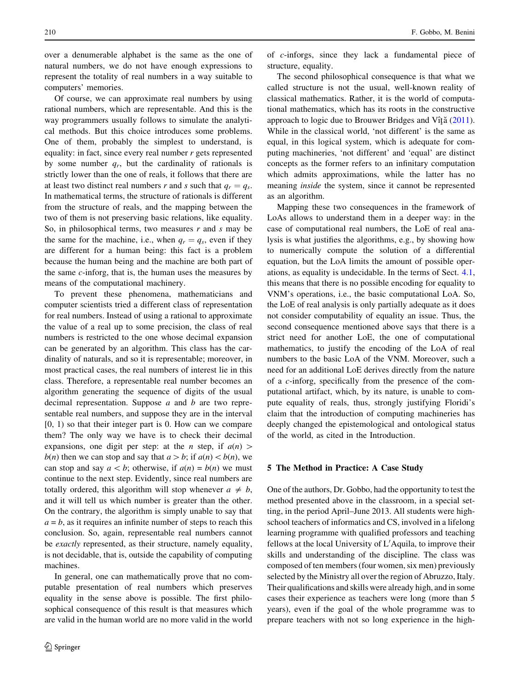<span id="page-8-0"></span>over a denumerable alphabet is the same as the one of natural numbers, we do not have enough expressions to represent the totality of real numbers in a way suitable to computers' memories.

Of course, we can approximate real numbers by using rational numbers, which are representable. And this is the way programmers usually follows to simulate the analytical methods. But this choice introduces some problems. One of them, probably the simplest to understand, is equality: in fact, since every real number  $r$  gets represented by some number  $q_r$ , but the cardinality of rationals is strictly lower than the one of reals, it follows that there are at least two distinct real numbers r and s such that  $q_r = q_s$ . In mathematical terms, the structure of rationals is different from the structure of reals, and the mapping between the two of them is not preserving basic relations, like equality. So, in philosophical terms, two measures  $r$  and  $s$  may be the same for the machine, i.e., when  $q_r = q_s$ , even if they are different for a human being: this fact is a problem because the human being and the machine are both part of the same  $c$ -inforg, that is, the human uses the measures by means of the computational machinery.

To prevent these phenomena, mathematicians and computer scientists tried a different class of representation for real numbers. Instead of using a rational to approximate the value of a real up to some precision, the class of real numbers is restricted to the one whose decimal expansion can be generated by an algorithm. This class has the cardinality of naturals, and so it is representable; moreover, in most practical cases, the real numbers of interest lie in this class. Therefore, a representable real number becomes an algorithm generating the sequence of digits of the usual decimal representation. Suppose  $a$  and  $b$  are two representable real numbers, and suppose they are in the interval [0, 1) so that their integer part is 0. How can we compare them? The only way we have is to check their decimal expansions, one digit per step: at the *n* step, if  $a(n)$  $b(n)$  then we can stop and say that  $a > b$ ; if  $a(n) < b(n)$ , we can stop and say  $a < b$ ; otherwise, if  $a(n) = b(n)$  we must continue to the next step. Evidently, since real numbers are totally ordered, this algorithm will stop whenever  $a \neq b$ , and it will tell us which number is greater than the other. On the contrary, the algorithm is simply unable to say that  $a = b$ , as it requires an infinite number of steps to reach this conclusion. So, again, representable real numbers cannot be exactly represented, as their structure, namely equality, is not decidable, that is, outside the capability of computing machines.

In general, one can mathematically prove that no computable presentation of real numbers which preserves equality in the sense above is possible. The first philosophical consequence of this result is that measures which are valid in the human world are no more valid in the world of c-inforgs, since they lack a fundamental piece of structure, equality.

The second philosophical consequence is that what we called structure is not the usual, well-known reality of classical mathematics. Rather, it is the world of computational mathematics, which has its roots in the constructive approach to logic due to Brouwer Bridges and Vîță  $(2011)$  $(2011)$ . While in the classical world, 'not different' is the same as equal, in this logical system, which is adequate for computing machineries, 'not different' and 'equal' are distinct concepts as the former refers to an infinitary computation which admits approximations, while the latter has no meaning inside the system, since it cannot be represented as an algorithm.

Mapping these two consequences in the framework of LoAs allows to understand them in a deeper way: in the case of computational real numbers, the LoE of real analysis is what justifies the algorithms, e.g., by showing how to numerically compute the solution of a differential equation, but the LoA limits the amount of possible operations, as equality is undecidable. In the terms of Sect. [4.1,](#page-5-0) this means that there is no possible encoding for equality to VNM's operations, i.e., the basic computational LoA. So, the LoE of real analysis is only partially adequate as it does not consider computability of equality an issue. Thus, the second consequence mentioned above says that there is a strict need for another LoE, the one of computational mathematics, to justify the encoding of the LoA of real numbers to the basic LoA of the VNM. Moreover, such a need for an additional LoE derives directly from the nature of a c-inforg, specifically from the presence of the computational artifact, which, by its nature, is unable to compute equality of reals, thus, strongly justifying Floridi's claim that the introduction of computing machineries has deeply changed the epistemological and ontological status of the world, as cited in the Introduction.

#### 5 The Method in Practice: A Case Study

One of the authors, Dr. Gobbo, had the opportunity to test the method presented above in the classroom, in a special setting, in the period April–June 2013. All students were highschool teachers of informatics and CS, involved in a lifelong learning programme with qualified professors and teaching fellows at the local University of L'Aquila, to improve their skills and understanding of the discipline. The class was composed of ten members (four women, six men) previously selected by the Ministry all over the region of Abruzzo, Italy. Their qualifications and skills were already high, and in some cases their experience as teachers were long (more than 5 years), even if the goal of the whole programme was to prepare teachers with not so long experience in the high-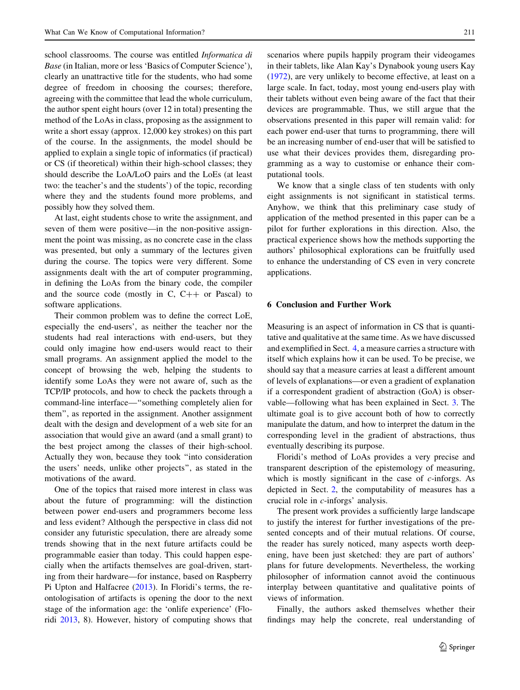<span id="page-9-0"></span>school classrooms. The course was entitled Informatica di Base (in Italian, more or less 'Basics of Computer Science'), clearly an unattractive title for the students, who had some degree of freedom in choosing the courses; therefore, agreeing with the committee that lead the whole curriculum, the author spent eight hours (over 12 in total) presenting the method of the LoAs in class, proposing as the assignment to write a short essay (approx. 12,000 key strokes) on this part of the course. In the assignments, the model should be applied to explain a single topic of informatics (if practical) or CS (if theoretical) within their high-school classes; they should describe the LoA/LoO pairs and the LoEs (at least two: the teacher's and the students') of the topic, recording where they and the students found more problems, and possibly how they solved them.

At last, eight students chose to write the assignment, and seven of them were positive—in the non-positive assignment the point was missing, as no concrete case in the class was presented, but only a summary of the lectures given during the course. The topics were very different. Some assignments dealt with the art of computer programming, in defining the LoAs from the binary code, the compiler and the source code (mostly in  $C$ ,  $C++$  or Pascal) to software applications.

Their common problem was to define the correct LoE, especially the end-users', as neither the teacher nor the students had real interactions with end-users, but they could only imagine how end-users would react to their small programs. An assignment applied the model to the concept of browsing the web, helping the students to identify some LoAs they were not aware of, such as the TCP/IP protocols, and how to check the packets through a command-line interface—''something completely alien for them'', as reported in the assignment. Another assignment dealt with the design and development of a web site for an association that would give an award (and a small grant) to the best project among the classes of their high-school. Actually they won, because they took ''into consideration the users' needs, unlike other projects'', as stated in the motivations of the award.

One of the topics that raised more interest in class was about the future of programming: will the distinction between power end-users and programmers become less and less evident? Although the perspective in class did not consider any futuristic speculation, there are already some trends showing that in the next future artifacts could be programmable easier than today. This could happen especially when the artifacts themselves are goal-driven, starting from their hardware—for instance, based on Raspberry Pi Upton and Halfacree [\(2013](#page-10-0)). In Floridi's terms, the reontologisation of artifacts is opening the door to the next stage of the information age: the 'onlife experience' (Floridi [2013](#page-10-0), 8). However, history of computing shows that scenarios where pupils happily program their videogames in their tablets, like Alan Kay's Dynabook young users Kay [\(1972](#page-10-0)), are very unlikely to become effective, at least on a large scale. In fact, today, most young end-users play with their tablets without even being aware of the fact that their devices are programmable. Thus, we still argue that the observations presented in this paper will remain valid: for each power end-user that turns to programming, there will be an increasing number of end-user that will be satisfied to use what their devices provides them, disregarding programming as a way to customise or enhance their computational tools.

We know that a single class of ten students with only eight assignments is not significant in statistical terms. Anyhow, we think that this preliminary case study of application of the method presented in this paper can be a pilot for further explorations in this direction. Also, the practical experience shows how the methods supporting the authors' philosophical explorations can be fruitfully used to enhance the understanding of CS even in very concrete applications.

#### 6 Conclusion and Further Work

Measuring is an aspect of information in CS that is quantitative and qualitative at the same time. As we have discussed and exemplified in Sect. [4](#page-5-0), a measure carries a structure with itself which explains how it can be used. To be precise, we should say that a measure carries at least a different amount of levels of explanations—or even a gradient of explanation if a correspondent gradient of abstraction (GoA) is observable—following what has been explained in Sect. [3.](#page-3-0) The ultimate goal is to give account both of how to correctly manipulate the datum, and how to interpret the datum in the corresponding level in the gradient of abstractions, thus eventually describing its purpose.

Floridi's method of LoAs provides a very precise and transparent description of the epistemology of measuring, which is mostly significant in the case of *c*-inforgs. As depicted in Sect. [2,](#page-2-0) the computability of measures has a crucial role in c-inforgs' analysis.

The present work provides a sufficiently large landscape to justify the interest for further investigations of the presented concepts and of their mutual relations. Of course, the reader has surely noticed, many aspects worth deepening, have been just sketched: they are part of authors' plans for future developments. Nevertheless, the working philosopher of information cannot avoid the continuous interplay between quantitative and qualitative points of views of information.

Finally, the authors asked themselves whether their findings may help the concrete, real understanding of